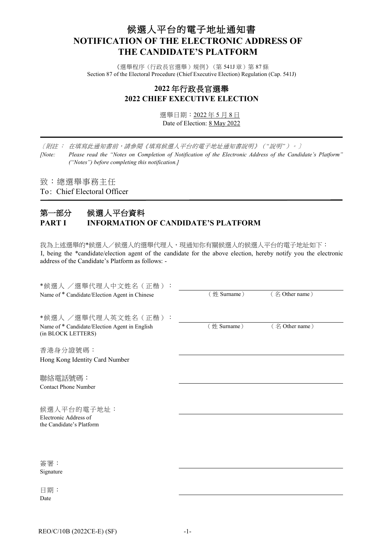# 候選人平台的電子地址通知書 **NOTIFICATION OF THE ELECTRONIC ADDRESS OF THE CANDIDATE'S PLATFORM**

《選舉程序(行政長官選舉)規例》(第 541J章)第 87條 Section 87 of the Electoral Procedure (Chief Executive Election) Regulation (Cap. 541J)

## **2022** 年行政長官選舉 **2022 CHIEF EXECUTIVE ELECTION**

選舉日期:2022 年 5 月 8 日 Date of Election: 8 May 2022

[附註 : 在填寫此通知書前,請參閱《填寫候選人平台的電子地址通知書說明》(*"*說明*"*)。]

*[Note: Please read the "Notes on Completion of Notification of the Electronic Address of the Candidate's Platform" ("Notes") before completing this notification.]*

致:總選舉事務主任

To: Chief Electoral Officer

## 第一部分 候選人平台資料 **PART I INFORMATION OF CANDIDATE'S PLATFORM**

我為上述選舉的\*候選人/候選人的選舉代理人,現通知你有關候選人的候選人平台的電子地址如下: I, being the \*candidate/election agent of the candidate for the above election, hereby notify you the electronic address of the Candidate's Platform as follows: -

| *候選人 /選舉代理人中文姓名(正楷):                                                |             |                |
|---------------------------------------------------------------------|-------------|----------------|
| Name of * Candidate/Election Agent in Chinese                       | (姓 Surname) | (名 Other name) |
| *候選人 /選舉代理人英文姓名(正楷):                                                |             |                |
| Name of * Candidate/Election Agent in English<br>(in BLOCK LETTERS) | (姓 Surname) | (名 Other name) |
| 香港身分證號碼:                                                            |             |                |
| Hong Kong Identity Card Number                                      |             |                |
| 聯絡電話號碼:                                                             |             |                |
| <b>Contact Phone Number</b>                                         |             |                |
| 候選人平台的電子地址:                                                         |             |                |
| Electronic Address of<br>the Candidate's Platform                   |             |                |
|                                                                     |             |                |
| 簽署:                                                                 |             |                |
| Signature                                                           |             |                |
| 日期:                                                                 |             |                |
| Date                                                                |             |                |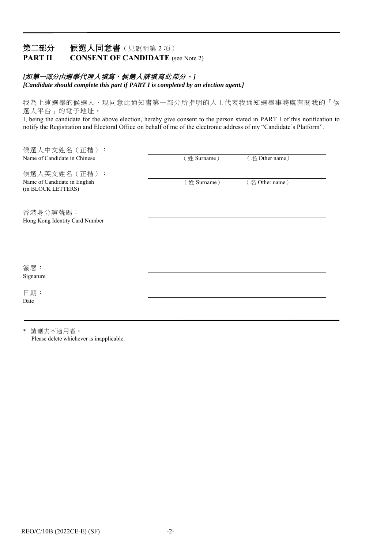### 第二部分 候選人同意書(見說明第2項) **PART II CONSENT OF CANDIDATE** (see Note 2)

### [如第一部分由選舉代理人填寫,候選人請填寫此部分。]

*[Candidate should complete this part if PART I is completed by an election agent.]*

我為上述選舉的候選人,現同意此通知書第一部分所指明的人士代表我通知選舉事務處有關我的「候 選人平台」的電子地址。

I, being the candidate for the above election, hereby give consent to the person stated in PART I of this notification to notify the Registration and Electoral Office on behalf of me of the electronic address of my "Candidate's Platform".

| 候選人中文姓名 (正楷):                                      |             |                |  |
|----------------------------------------------------|-------------|----------------|--|
| Name of Candidate in Chinese                       | (姓 Surname) | (名 Other name) |  |
| 候選人英文姓名 (正楷):                                      |             |                |  |
| Name of Candidate in English<br>(in BLOCK LETTERS) | (姓 Surname) | (名 Other name) |  |
| 香港身分證號碼:                                           |             |                |  |
| Hong Kong Identity Card Number                     |             |                |  |
|                                                    |             |                |  |
|                                                    |             |                |  |
| 簽署:                                                |             |                |  |
| Signature                                          |             |                |  |
| 日期:                                                |             |                |  |
| Date                                               |             |                |  |
|                                                    |             |                |  |

\* 請刪去不適用者。 Please delete whichever is inapplicable.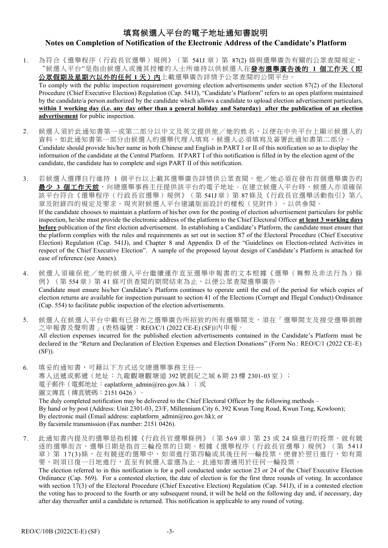# 填寫候選人平台的電子地址通知書說明 **Notes on Completion of Notification of the Electronic Address of the Candidate's Platform**

1. 為符合《選舉程序(行政長官選舉)規例》(第 541J 章)第 87(2)條與選舉廣告有關的公眾查閱規定, "候選人平台"是指由候選人或獲其授權的人士所維持以供候選人在發布選舉廣告後的 **1** 個工作天(即 公眾假期及星期六以外的任何 **1** 天)內上載選舉廣告詳情予公眾查閱的公開平台。 To comply with the public inspection requirement governing election advertisements under section 87(2) of the Electoral Procedure (Chief Executive Election) Regulation (Cap. 541J), "Candidate's Platform" refers to an open platform maintained by the candidate/a person authorized by the candidate which allows a candidate to upload election advertisement particulars, **within 1 working day (i.e. any day other than a general holiday and Saturday) after the publication of an election** 

**advertisement** for public inspection.

- 2. 候選人須於此通知書第一或第二部分以中文及英文提供他/她的姓名,以便在中央平台上顯示候選人的 資料。如此通知書第一部分由候選人的選舉代理人填寫,候選人必須填寫及簽署此通知書第二部分。 Candidate should provide his/her name in both Chinese and English in PART I or II of this notification so as to display the information of the candidate at the Central Platform. If PART I of this notification is filled in by the election agent of the candidate, the candidate has to complete and sign PART II of this notification.
- 3. 若候選人選擇自行維持 1 個平台以上載其選舉廣告詳情供公眾查閱,他/她必須在發布首個選舉廣告的 **最少 3 個工作天前**,向總選舉事務主任提供該平台的電子地址。在建立候選人平台時,候選人亦須確保 該平台符合《選舉程序(行政長官選舉)規例》(第 541J 章) 第 87 條及《行政長官選舉活動指引》第八 章及附錄四的規定及要求。現夾附候選人平台建議版面設計的樣板(見附件),以供參閱。 If the candidate chooses to maintain a platform of his/her own for the posting of election advertisement particulars for public inspection, he/she must provide the electronic address of the platform to the Chief Electoral Officer **at least 3 working days before** publication of the first election advertisement. In establishing a Candidate's Platform, the candidate must ensure that the platform complies with the rules and requirements as set out in section 87 of the Electoral Procedure (Chief Executive Election) Regulation (Cap. 541J), and Chapter 8 and Appendix D of the "Guidelines on Election-related Activities in respect of the Chief Executive Election". A sample of the proposed layout design of Candidate's Platform is attached for ease of reference (see Annex).
- 4. 候選人須確保他/她的候選人平台繼續運作直至選舉申報書的文本根據《選舉(舞弊及非法行為)條 例》(第 554章)第 41 條可供查閱的期間結束為止,以便公眾查閱選舉廣告。 Candidate must ensure his/her Candidate's Platform continues to operate until the end of the period for which copies of election returns are available for inspection pursuant to section 41 of the Elections (Corrupt and Illegal Conduct) Ordinance (Cap. 554) to facilitate public inspection of the election advertisements.
- 5. 候選人在候選人平台中載有已發布之選舉廣告所招致的所有選舉開支,須在「選舉開支及接受選舉捐贈 之申報書及聲明書」(表格編號:REO/C/1 (2022 CE-E) (SF))內申報。 All election expenses incurred for the published election advertisements contained in the Candidate's Platform must be declared in the "Return and Declaration of Election Expenses and Election Donations" (Form No.: REO/C/1 (2022 CE-E) (SF)).
- 6. 填妥的通知書,可藉以下方式送交總選舉事務主任— 專人送遞或郵遞(地址:九龍觀塘觀塘道 392號創紀之城 6期 23樓 2301-03室); 電子郵件(電郵地址: eaplatform\_admin@reo.gov.hk);或 圖文傳真(傳真號碼:2151 0426)。 The duly completed notification may be delivered to the Chief Electoral Officer by the following methods – By hand or by post (Address: Unit 2301-03, 23/F, Millennium City 6, 392 Kwun Tong Road, Kwun Tong, Kowloon); By electronic mail (Email address: eaplatform\_admin@reo.gov.hk); or By facsimile transmission (Fax number: 2151 0426).
- 7. 此通知書內提及的選舉是指根據《行政長官選舉條例》(第 569 章)第 23 或 24 條進行的投票。就有競 逐的選舉而言,選舉日期是指首三輪投票的日期。根據《選舉程序(行政長官選舉)規例》(第 541J 章)第 17(3)條,在有競逐的選舉中,如須進行第四輪或其後任何一輪投票,便會於翌日進行,如有需 要,則須日復一日地進行,直至有候選人當選為止。此通知書適用於任何一輪投票。

The election referred to in this notification is for a poll conducted under section 23 or 24 of the Chief Executive Election Ordinance (Cap. 569). For a contested election, the date of election is for the first three rounds of voting. In accordance with section 17(3) of the Electoral Procedure (Chief Executive Election) Regulation (Cap. 541J), if in a contested election the voting has to proceed to the fourth or any subsequent round, it will be held on the following day and, if necessary, day after day thereafter until a candidate is returned. This notification is applicable to any round of voting.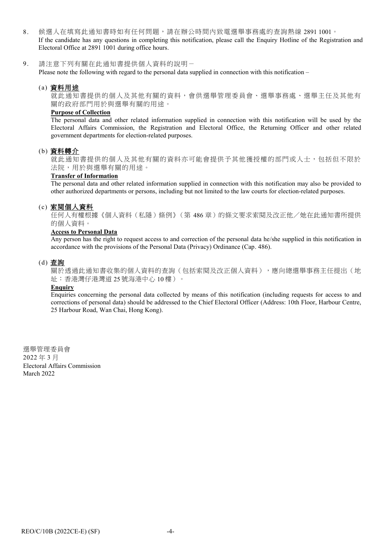8. 候選人在填寫此通知書時如有任何問題,請在辦公時間內致電選舉事務處的查詢熱線 2891 1001。 If the candidate has any questions in completing this notification, please call the Enquiry Hotline of the Registration and Electoral Office at 2891 1001 during office hours.

9. 請注意下列有關在此通知書提供個人資料的說明-

Please note the following with regard to the personal data supplied in connection with this notification –

#### (a) 資料用途

就此通知書提供的個人及其他有關的資料,會供選舉管理委員會、選舉事務處、選舉主任及其他有 關的政府部門用於與選舉有關的用途。

#### **Purpose of Collection**

The personal data and other related information supplied in connection with this notification will be used by the Electoral Affairs Commission, the Registration and Electoral Office, the Returning Officer and other related government departments for election-related purposes.

#### (b) 資料轉介

就此通知書提供的個人及其他有關的資料亦可能會提供予其他獲授權的部門或人士,包括但不限於 法院,用於與選舉有關的用途。

#### **Transfer of Information**

The personal data and other related information supplied in connection with this notification may also be provided to other authorized departments or persons, including but not limited to the law courts for election-related purposes.

#### (c) 索閱個人資料

任何人有權根據《個人資料(私隱)條例》(第 486 章)的條文要求索閱及改正他/她在此通知書所提供 的個人資料。

#### **Access to Personal Data**

Any person has the right to request access to and correction of the personal data he/she supplied in this notification in accordance with the provisions of the Personal Data (Privacy) Ordinance (Cap. 486).

#### (d) 查詢

關於透過此通知書收集的個人資料的查詢(包括索閱及改正個人資料),應向總選舉事務主任提出(地 址:香港灣仔港灣道 25 號海港中心 10 樓)。

#### **Enquiry**

Enquiries concerning the personal data collected by means of this notification (including requests for access to and corrections of personal data) should be addressed to the Chief Electoral Officer (Address: 10th Floor, Harbour Centre, 25 Harbour Road, Wan Chai, Hong Kong).

選舉管理委員會 2022 年 3 月 Electoral Affairs Commission March 2022